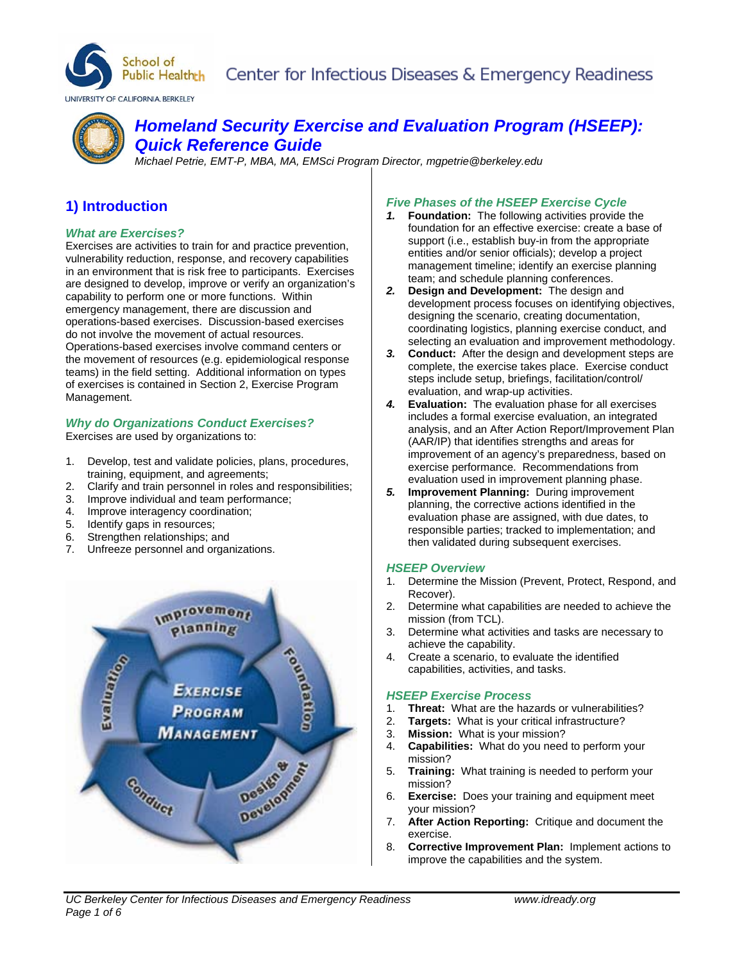



# *Homeland Security Exercise and Evaluation Program (HSEEP): Quick Reference Guide*

*Michael Petrie, EMT-P, MBA, MA, EMSci Program Director, mgpetrie@berkeley.edu* 

# **1) Introduction**

## *What are Exercises?*

Exercises are activities to train for and practice prevention, vulnerability reduction, response, and recovery capabilities in an environment that is risk free to participants. Exercises are designed to develop, improve or verify an organization's capability to perform one or more functions. Within emergency management, there are discussion and operations-based exercises. Discussion-based exercises do not involve the movement of actual resources. Operations-based exercises involve command centers or the movement of resources (e.g. epidemiological response teams) in the field setting. Additional information on types of exercises is contained in Section 2, Exercise Program Management.

## *Why do Organizations Conduct Exercises?*

Exercises are used by organizations to:

- 1. Develop, test and validate policies, plans, procedures, training, equipment, and agreements;
- 2. Clarify and train personnel in roles and responsibilities;
- 3. Improve individual and team performance;
- 4. Improve interagency coordination;
- 5. Identify gaps in resources;
- 6. Strengthen relationships; and
- 7. Unfreeze personnel and organizations.



## *Five Phases of the HSEEP Exercise Cycle*

- *1.* **Foundation:** The following activities provide the foundation for an effective exercise: create a base of support (i.e., establish buy-in from the appropriate entities and/or senior officials); develop a project management timeline; identify an exercise planning team; and schedule planning conferences.
- *2.* **Design and Development:** The design and development process focuses on identifying objectives, designing the scenario, creating documentation, coordinating logistics, planning exercise conduct, and selecting an evaluation and improvement methodology.
- *3.* **Conduct:** After the design and development steps are complete, the exercise takes place. Exercise conduct steps include setup, briefings, facilitation/control/ evaluation, and wrap-up activities.
- *4.* **Evaluation:** The evaluation phase for all exercises includes a formal exercise evaluation, an integrated analysis, and an After Action Report/Improvement Plan (AAR/IP) that identifies strengths and areas for improvement of an agency's preparedness, based on exercise performance. Recommendations from evaluation used in improvement planning phase.
- *5.* **Improvement Planning:** During improvement planning, the corrective actions identified in the evaluation phase are assigned, with due dates, to responsible parties; tracked to implementation; and then validated during subsequent exercises.

## *HSEEP Overview*

- 1. Determine the Mission (Prevent, Protect, Respond, and Recover).
- 2. Determine what capabilities are needed to achieve the mission (from TCL).
- 3. Determine what activities and tasks are necessary to achieve the capability.
- 4. Create a scenario, to evaluate the identified capabilities, activities, and tasks.

## *HSEEP Exercise Process*

- 1. **Threat:** What are the hazards or vulnerabilities?
- 2. **Targets:** What is your critical infrastructure?
- 3. **Mission:** What is your mission?
- 4. **Capabilities:** What do you need to perform your mission?
- 5. **Training:** What training is needed to perform your mission?
- 6. **Exercise:** Does your training and equipment meet your mission?
- 7. **After Action Reporting:** Critique and document the exercise.
- 8. **Corrective Improvement Plan:** Implement actions to improve the capabilities and the system.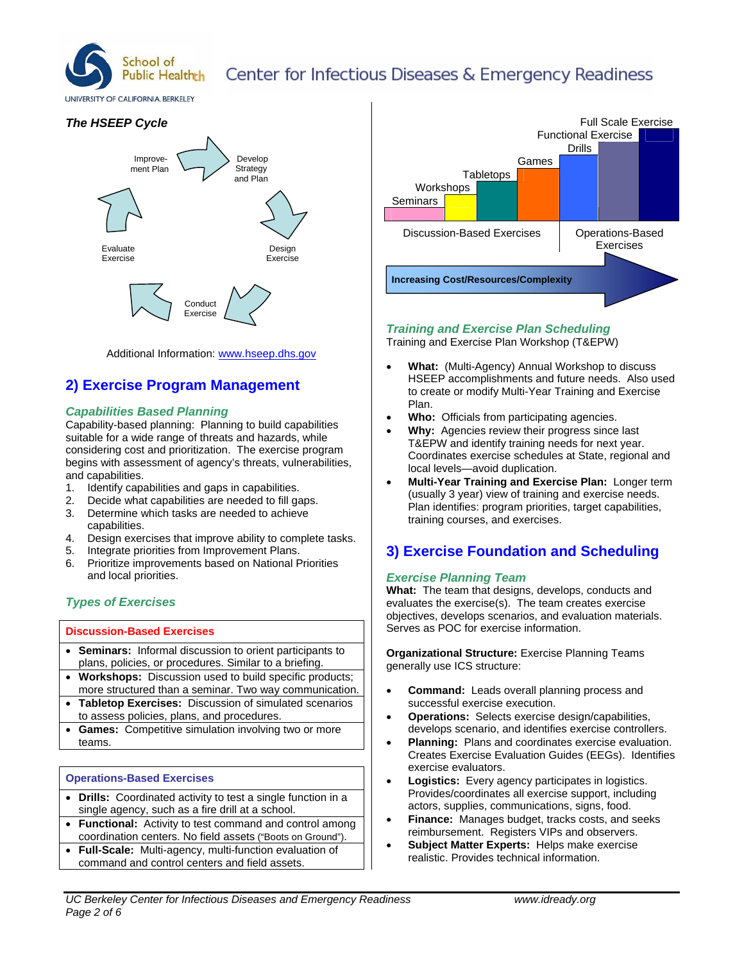

# Center for Infectious Diseases & Emergency Readiness

UNIVERSITY OF CALIFORNIA, BERKELEY

## *The HSEEP Cycle*



Additional Information: www.hseep.dhs.gov

# **2) Exercise Program Management**

## *Capabilities Based Planning*

Capability-based planning: Planning to build capabilities suitable for a wide range of threats and hazards, while considering cost and prioritization. The exercise program begins with assessment of agency's threats, vulnerabilities, and capabilities.

- 1. Identify capabilities and gaps in capabilities.
- 2. Decide what capabilities are needed to fill gaps.
- 3. Determine which tasks are needed to achieve capabilities.
- 4. Design exercises that improve ability to complete tasks.
- 5. Integrate priorities from Improvement Plans.
- 6. Prioritize improvements based on National Priorities and local priorities.

## *Types of Exercises*

## **Discussion-Based Exercises**

- **Seminars:** Informal discussion to orient participants to plans, policies, or procedures. Similar to a briefing.
- **Workshops:** Discussion used to build specific products; more structured than a seminar. Two way communication.
- **Tabletop Exercises:** Discussion of simulated scenarios to assess policies, plans, and procedures.
- **Games:** Competitive simulation involving two or more teams.

## **Operations-Based Exercises**

- **Drills:** Coordinated activity to test a single function in a single agency, such as a fire drill at a school.
- **Functional:** Activity to test command and control among coordination centers. No field assets ("Boots on Ground").
- **Full-Scale:** Multi-agency, multi-function evaluation of command and control centers and field assets.



## *Training and Exercise Plan Scheduling*

Training and Exercise Plan Workshop (T&EPW)

- **What:** (Multi-Agency) Annual Workshop to discuss HSEEP accomplishments and future needs. Also used to create or modify Multi-Year Training and Exercise Plan.
- **Who:** Officials from participating agencies.
- **Why:** Agencies review their progress since last T&EPW and identify training needs for next year. Coordinates exercise schedules at State, regional and local levels—avoid duplication.
- **Multi-Year Training and Exercise Plan:** Longer term (usually 3 year) view of training and exercise needs. Plan identifies: program priorities, target capabilities, training courses, and exercises.

# **3) Exercise Foundation and Scheduling**

## *Exercise Planning Team*

**What:** The team that designs, develops, conducts and evaluates the exercise(s). The team creates exercise objectives, develops scenarios, and evaluation materials. Serves as POC for exercise information.

**Organizational Structure:** Exercise Planning Teams generally use ICS structure:

- **Command:** Leads overall planning process and successful exercise execution.
- **Operations:** Selects exercise design/capabilities, develops scenario, and identifies exercise controllers.
- **Planning:** Plans and coordinates exercise evaluation. Creates Exercise Evaluation Guides (EEGs). Identifies exercise evaluators.
- **Logistics:** Every agency participates in logistics. Provides/coordinates all exercise support, including actors, supplies, communications, signs, food.
- **Finance:** Manages budget, tracks costs, and seeks reimbursement. Registers VIPs and observers.
- **Subject Matter Experts:** Helps make exercise realistic. Provides technical information.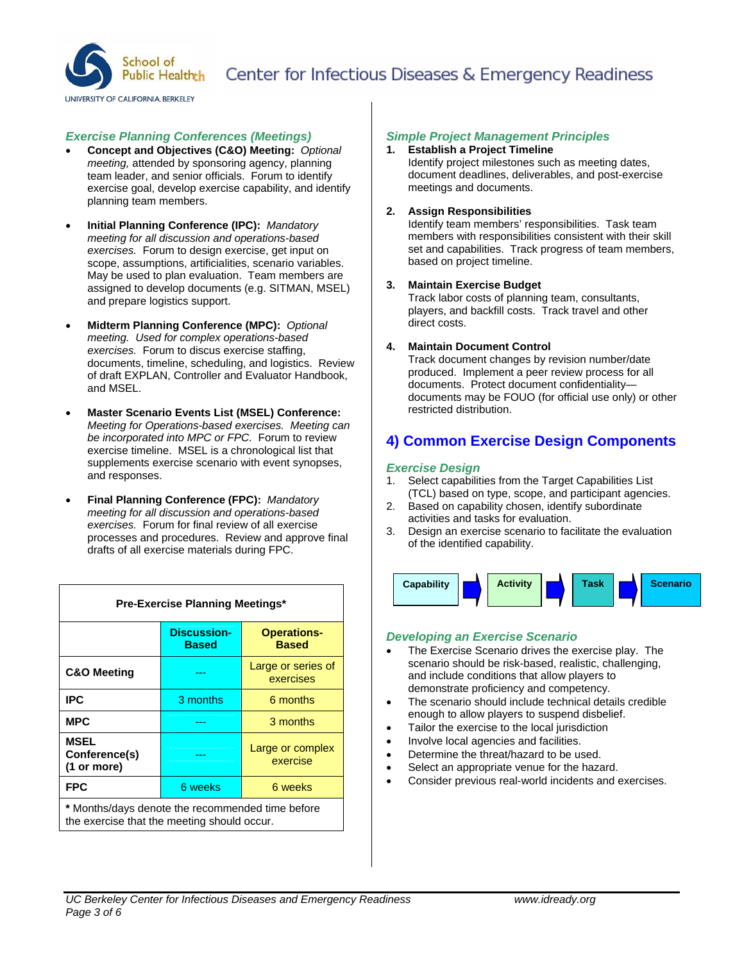

#### *Exercise Planning Conferences (Meetings)*

- **Concept and Objectives (C&O) Meeting:** *Optional meeting,* attended by sponsoring agency, planning team leader, and senior officials. Forum to identify exercise goal, develop exercise capability, and identify planning team members.
- **Initial Planning Conference (IPC):** *Mandatory meeting for all discussion and operations-based exercises.* Forum to design exercise, get input on scope, assumptions, artificialities, scenario variables. May be used to plan evaluation. Team members are assigned to develop documents (e.g. SITMAN, MSEL) and prepare logistics support.
- **Midterm Planning Conference (MPC):** *Optional meeting. Used for complex operations-based exercises.* Forum to discus exercise staffing, documents, timeline, scheduling, and logistics. Review of draft EXPLAN, Controller and Evaluator Handbook, and MSEL.
- **Master Scenario Events List (MSEL) Conference:**  *Meeting for Operations-based exercises. Meeting can be incorporated into MPC or FPC.* Forum to review exercise timeline. MSEL is a chronological list that supplements exercise scenario with event synopses, and responses.
- **Final Planning Conference (FPC):** *Mandatory meeting for all discussion and operations-based exercises.* Forum for final review of all exercise processes and procedures. Review and approve final drafts of all exercise materials during FPC.

| Pre-Exercise Planning Meetings*                                                                 |                                    |                                    |
|-------------------------------------------------------------------------------------------------|------------------------------------|------------------------------------|
|                                                                                                 | <b>Discussion-</b><br><b>Based</b> | <b>Operations-</b><br><b>Based</b> |
| <b>C&amp;O Meeting</b>                                                                          |                                    | Large or series of<br>exercises    |
| <b>IPC</b>                                                                                      | 3 months                           | 6 months                           |
| <b>MPC</b>                                                                                      |                                    | 3 months                           |
| <b>MSEL</b><br>Conference(s)<br>(1 or more)                                                     |                                    | Large or complex<br>exercise       |
| <b>FPC</b>                                                                                      | 6 weeks                            | 6 weeks                            |
| * Months/days denote the recommended time before<br>the exercise that the meeting should occur. |                                    |                                    |

#### *Simple Project Management Principles*

**1. Establish a Project Timeline**  Identify project milestones such as meeting dates, document deadlines, deliverables, and post-exercise meetings and documents.

#### **2. Assign Responsibilities**

Identify team members' responsibilities. Task team members with responsibilities consistent with their skill set and capabilities. Track progress of team members, based on project timeline.

#### **3. Maintain Exercise Budget**

Track labor costs of planning team, consultants, players, and backfill costs. Track travel and other direct costs.

#### **4. Maintain Document Control**

Track document changes by revision number/date produced. Implement a peer review process for all documents. Protect document confidentiality documents may be FOUO (for official use only) or other restricted distribution.

## **4) Common Exercise Design Components**

#### *Exercise Design*

- 1. Select capabilities from the Target Capabilities List (TCL) based on type, scope, and participant agencies.
- 2. Based on capability chosen, identify subordinate activities and tasks for evaluation.
- 3. Design an exercise scenario to facilitate the evaluation of the identified capability.



#### *Developing an Exercise Scenario*

- The Exercise Scenario drives the exercise play. The scenario should be risk-based, realistic, challenging, and include conditions that allow players to demonstrate proficiency and competency.
- The scenario should include technical details credible enough to allow players to suspend disbelief.
- Tailor the exercise to the local jurisdiction
- Involve local agencies and facilities.
- Determine the threat/hazard to be used.
- Select an appropriate venue for the hazard.
- Consider previous real-world incidents and exercises.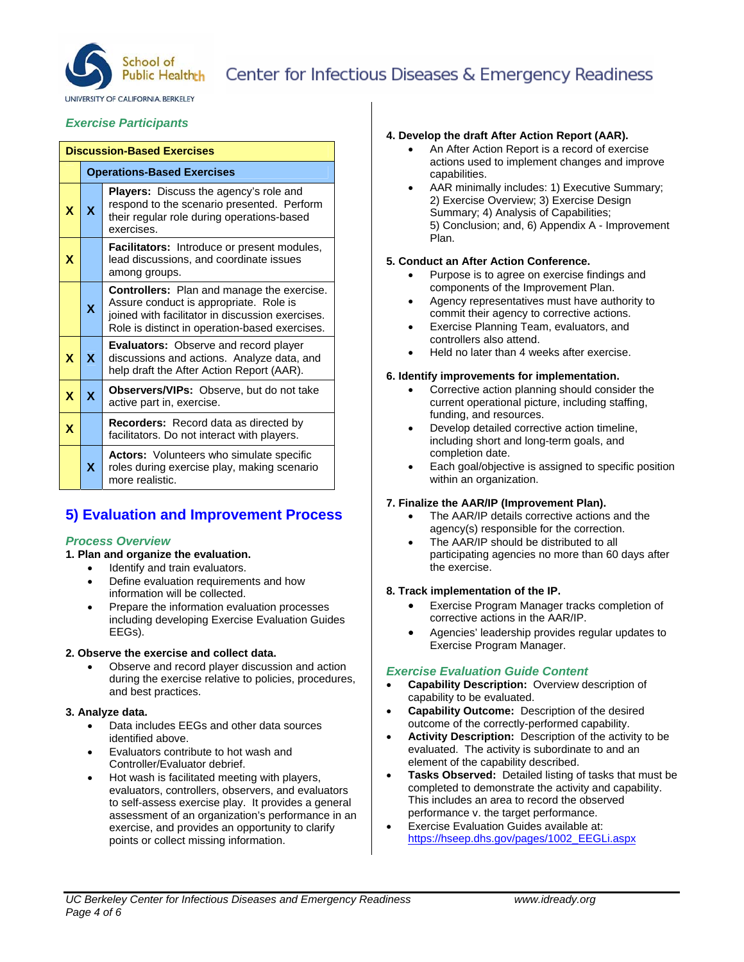

# Center for Infectious Diseases & Emergency Readiness

UNIVERSITY OF CALIFORNIA RERKELEY

## *Exercise Participants*

| <b>Discussion-Based Exercises</b> |                                   |                                                                                                                                                                                                   |  |  |
|-----------------------------------|-----------------------------------|---------------------------------------------------------------------------------------------------------------------------------------------------------------------------------------------------|--|--|
|                                   | <b>Operations-Based Exercises</b> |                                                                                                                                                                                                   |  |  |
| X                                 | X                                 | <b>Players:</b> Discuss the agency's role and<br>respond to the scenario presented. Perform<br>their regular role during operations-based<br>exercises.                                           |  |  |
| X                                 |                                   | Facilitators: Introduce or present modules,<br>lead discussions, and coordinate issues<br>among groups.                                                                                           |  |  |
|                                   | X                                 | <b>Controllers:</b> Plan and manage the exercise.<br>Assure conduct is appropriate. Role is<br>joined with facilitator in discussion exercises.<br>Role is distinct in operation-based exercises. |  |  |
| X                                 | $\mathbf{x}$                      | Evaluators: Observe and record player<br>discussions and actions. Analyze data, and<br>help draft the After Action Report (AAR).                                                                  |  |  |
| X                                 | $\mathbf{x}$                      | Observers/VIPs: Observe, but do not take<br>active part in, exercise.                                                                                                                             |  |  |
| X                                 |                                   | Recorders: Record data as directed by<br>facilitators. Do not interact with players.                                                                                                              |  |  |
|                                   | X.                                | <b>Actors:</b> Volunteers who simulate specific<br>roles during exercise play, making scenario<br>more realistic.                                                                                 |  |  |

# **5) Evaluation and Improvement Process**

## *Process Overview*

- **1. Plan and organize the evaluation.** 
	- Identify and train evaluators.
	- Define evaluation requirements and how information will be collected.
	- Prepare the information evaluation processes including developing Exercise Evaluation Guides EEGs).

#### **2. Observe the exercise and collect data.**

 Observe and record player discussion and action during the exercise relative to policies, procedures, and best practices.

## **3. Analyze data.**

- Data includes EEGs and other data sources identified above.
- Evaluators contribute to hot wash and Controller/Evaluator debrief.
- Hot wash is facilitated meeting with players, evaluators, controllers, observers, and evaluators to self-assess exercise play. It provides a general assessment of an organization's performance in an exercise, and provides an opportunity to clarify points or collect missing information.

## **4. Develop the draft After Action Report (AAR).**

- An After Action Report is a record of exercise actions used to implement changes and improve capabilities.
- AAR minimally includes: 1) Executive Summary; 2) Exercise Overview; 3) Exercise Design Summary; 4) Analysis of Capabilities; 5) Conclusion; and, 6) Appendix A - Improvement Plan.

#### **5. Conduct an After Action Conference.**

- Purpose is to agree on exercise findings and components of the Improvement Plan.
- Agency representatives must have authority to commit their agency to corrective actions.
- Exercise Planning Team, evaluators, and controllers also attend.
- Held no later than 4 weeks after exercise.

#### **6. Identify improvements for implementation.**

- Corrective action planning should consider the current operational picture, including staffing, funding, and resources.
- Develop detailed corrective action timeline, including short and long-term goals, and completion date.
- Each goal/objective is assigned to specific position within an organization.

## **7. Finalize the AAR/IP (Improvement Plan).**

- The AAR/IP details corrective actions and the agency(s) responsible for the correction.
- The AAR/IP should be distributed to all participating agencies no more than 60 days after the exercise.

## **8. Track implementation of the IP.**

- Exercise Program Manager tracks completion of corrective actions in the AAR/IP.
- Agencies' leadership provides regular updates to Exercise Program Manager.

## *Exercise Evaluation Guide Content*

- **Capability Description:** Overview description of capability to be evaluated.
- **Capability Outcome:** Description of the desired outcome of the correctly-performed capability.
- **Activity Description:** Description of the activity to be evaluated. The activity is subordinate to and an element of the capability described.
- **Tasks Observed:** Detailed listing of tasks that must be completed to demonstrate the activity and capability. This includes an area to record the observed performance v. the target performance.
- Exercise Evaluation Guides available at: https://hseep.dhs.gov/pages/1002\_EEGLi.aspx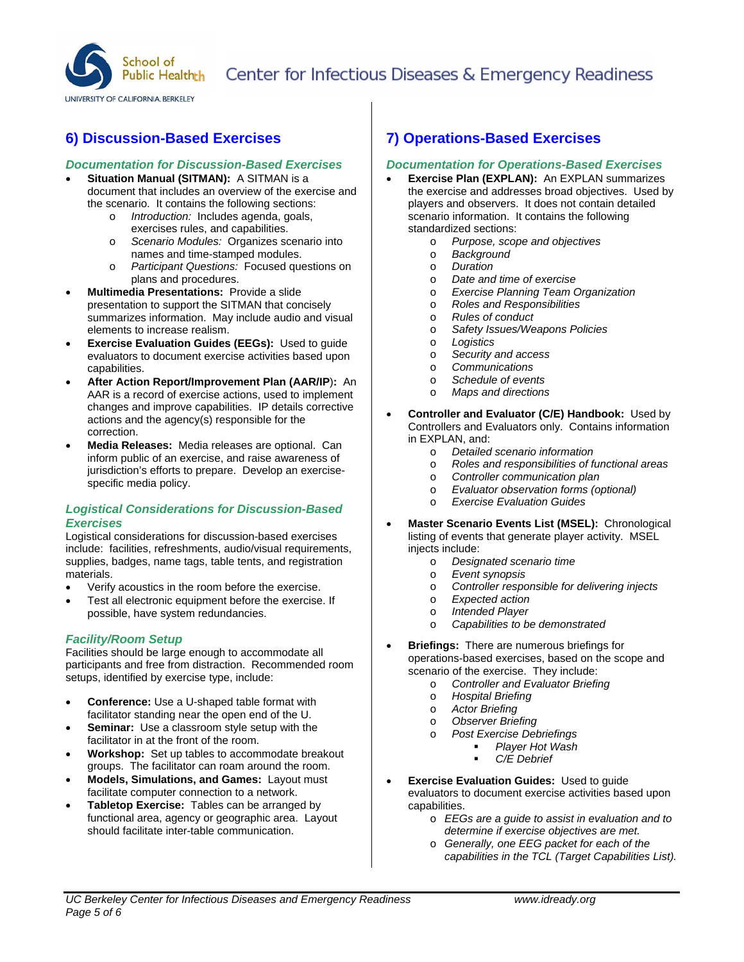

**6) Discussion-Based Exercises** 

## *Documentation for Discussion-Based Exercises*

- **Situation Manual (SITMAN):** A SITMAN is a document that includes an overview of the exercise and
	- the scenario. It contains the following sections: o *Introduction:* Includes agenda, goals, exercises rules, and capabilities.
		- o *Scenario Modules:* Organizes scenario into names and time-stamped modules.
		- o *Participant Questions:* Focused questions on plans and procedures.
- **Multimedia Presentations:** Provide a slide presentation to support the SITMAN that concisely summarizes information. May include audio and visual elements to increase realism.
- **Exercise Evaluation Guides (EEGs):** Used to guide evaluators to document exercise activities based upon capabilities.
- **After Action Report/Improvement Plan (AAR/IP**)**:** An AAR is a record of exercise actions, used to implement changes and improve capabilities. IP details corrective actions and the agency(s) responsible for the correction.
- **Media Releases:** Media releases are optional. Can inform public of an exercise, and raise awareness of jurisdiction's efforts to prepare. Develop an exercisespecific media policy.

## *Logistical Considerations for Discussion-Based Exercises*

Logistical considerations for discussion-based exercises include: facilities, refreshments, audio/visual requirements, supplies, badges, name tags, table tents, and registration materials.

- Verify acoustics in the room before the exercise.
- Test all electronic equipment before the exercise. If possible, have system redundancies.

## *Facility/Room Setup*

Facilities should be large enough to accommodate all participants and free from distraction. Recommended room setups, identified by exercise type, include:

- **Conference:** Use a U-shaped table format with facilitator standing near the open end of the U.
- **Seminar:** Use a classroom style setup with the facilitator in at the front of the room.
- **Workshop:** Set up tables to accommodate breakout groups. The facilitator can roam around the room.
- **Models, Simulations, and Games:** Layout must facilitate computer connection to a network.
- **Tabletop Exercise:** Tables can be arranged by functional area, agency or geographic area. Layout should facilitate inter-table communication.

## **7) Operations-Based Exercises**

## *Documentation for Operations-Based Exercises*

- **Exercise Plan (EXPLAN):** An EXPLAN summarizes the exercise and addresses broad objectives. Used by players and observers. It does not contain detailed scenario information. It contains the following standardized sections:
	- o *Purpose, scope and objectives*
	- o *Background*
	- o *Duration*
	- o *Date and time of exercise*
	- o *Exercise Planning Team Organization*
	- o *Roles and Responsibilities*
	- o *Rules of conduct*
	- o *Safety Issues/Weapons Policies*
	- o *Logistics*
	- o *Security and access*
	- o *Communications*
	- o *Schedule of events*
	- o *Maps and directions*
- **Controller and Evaluator (C/E) Handbook:** Used by Controllers and Evaluators only. Contains information in EXPLAN, and:
	- o *Detailed scenario information*
	- o *Roles and responsibilities of functional areas*
	- o *Controller communication plan*
	- o *Evaluator observation forms (optional)*
	- o *Exercise Evaluation Guides*
- **Master Scenario Events List (MSEL):** Chronological listing of events that generate player activity. MSEL injects include:
	- o *Designated scenario time*
	- o *Event synopsis*
	- o *Controller responsible for delivering injects*
	- o *Expected action*
	- o *Intended Player*
	- o *Capabilities to be demonstrated*
- **Briefings:** There are numerous briefings for operations-based exercises, based on the scope and scenario of the exercise. They include:
	- o *Controller and Evaluator Briefing*
	- o *Hospital Briefing*
	- o *Actor Briefing*
	- o *Observer Briefing*
	- o *Post Exercise Debriefings* 
		- *Player Hot Wash*
		- *C/E Debrief*
- **Exercise Evaluation Guides:** Used to guide evaluators to document exercise activities based upon capabilities.
	- o *EEGs are a guide to assist in evaluation and to determine if exercise objectives are met.*
	- o *Generally, one EEG packet for each of the capabilities in the TCL (Target Capabilities List).*